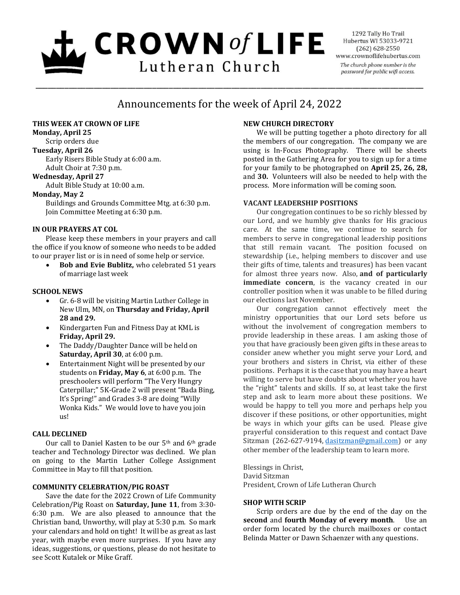# $L$  CROWN of LIFE Lutheran Church

1292 Tally Ho Trail Hubertus WI 53033-9721  $(262)$  628-2550 www.crownoflifehubertus.com The church phone number is the password for public wifi access.

# Announcements for the week of April 24, 2022

\_\_\_\_\_\_\_\_\_\_\_\_\_\_\_\_\_\_\_\_\_\_\_\_\_\_\_\_\_\_\_\_\_\_\_\_\_\_\_\_\_\_\_\_\_\_\_\_\_\_\_\_\_\_\_\_\_\_\_\_\_\_\_\_\_\_\_\_\_\_\_\_\_\_\_\_\_\_\_\_\_\_\_\_\_\_\_\_\_\_\_\_\_

# **THIS WEEK AT CROWN OF LIFE**

**Monday, April 25**

Scrip orders due

**Tuesday, April 26**

Early Risers Bible Study at 6:00 a.m. Adult Choir at 7:30 p.m.

#### **Wednesday, April 27**

Adult Bible Study at 10:00 a.m.

# **Monday, May 2**

Buildings and Grounds Committee Mtg. at 6:30 p.m. Join Committee Meeting at 6:30 p.m.

# **IN OUR PRAYERS AT COL**

Please keep these members in your prayers and call the office if you know of someone who needs to be added to our prayer list or is in need of some help or service.

 **Bob and Evie Bublitz,** who celebrated 51 years of marriage last week

# **SCHOOL NEWS**

- Gr. 6-8 will be visiting Martin Luther College in New Ulm, MN, on **Thursday and Friday, April 28 and 29.**
- Kindergarten Fun and Fitness Day at KML is **Friday, April 29.**
- The Daddy/Daughter Dance will be held on **Saturday, April 30**, at 6:00 p.m.
- Entertainment Night will be presented by our students on **Friday, May 6**, at 6:00 p.m. The preschoolers will perform "The Very Hungry Caterpillar;" 5K-Grade 2 will present "Bada Bing, It's Spring!" and Grades 3-8 are doing "Willy Wonka Kids." We would love to have you join us!

# **CALL DECLINED**

Our call to Daniel Kasten to be our 5<sup>th</sup> and 6<sup>th</sup> grade teacher and Technology Director was declined. We plan on going to the Martin Luther College Assignment Committee in May to fill that position.

# **COMMUNITY CELEBRATION/PIG ROAST**

Save the date for the 2022 Crown of Life Community Celebration/Pig Roast on **Saturday, June 11**, from 3:30- 6:30 p.m. We are also pleased to announce that the Christian band, Unworthy, will play at 5:30 p.m. So mark your calendars and hold on tight! It will be as great as last year, with maybe even more surprises. If you have any ideas, suggestions, or questions, please do not hesitate to see Scott Kutalek or Mike Graff.

# **NEW CHURCH DIRECTORY**

We will be putting together a photo directory for all the members of our congregation. The company we are using is In-Focus Photography. There will be sheets posted in the Gathering Area for you to sign up for a time for your family to be photographed on **April 25, 26, 28,** and **30.** Volunteers will also be needed to help with the process. More information will be coming soon.

#### **VACANT LEADERSHIP POSITIONS**

Our congregation continues to be so richly blessed by our Lord, and we humbly give thanks for His gracious care. At the same time, we continue to search for members to serve in congregational leadership positions that still remain vacant. The position focused on stewardship (i.e., helping members to discover and use their gifts of time, talents and treasures) has been vacant for almost three years now. Also, **and of particularly immediate concern**, is the vacancy created in our controller position when it was unable to be filled during our elections last November.

Our congregation cannot effectively meet the ministry opportunities that our Lord sets before us without the involvement of congregation members to provide leadership in these areas. I am asking those of you that have graciously been given gifts in these areas to consider anew whether you might serve your Lord, and your brothers and sisters in Christ, via either of these positions. Perhaps it is the case that you may have a heart willing to serve but have doubts about whether you have the "right" talents and skills. If so, at least take the first step and ask to learn more about these positions. We would be happy to tell you more and perhaps help you discover if these positions, or other opportunities, might be ways in which your gifts can be used. Please give prayerful consideration to this request and contact Dave Sitzman (262-627-9194, [dasitzman@gmail.com\)](mailto:dasitzman@gmail.com) or any other member of the leadership team to learn more.

Blessings in Christ, David Sitzman President, Crown of Life Lutheran Church

# **SHOP WITH SCRIP**

Scrip orders are due by the end of the day on the **second** and **fourth Monday of every month**. Use an order form located by the church mailboxes or contact Belinda Matter or Dawn Schaenzer with any questions.